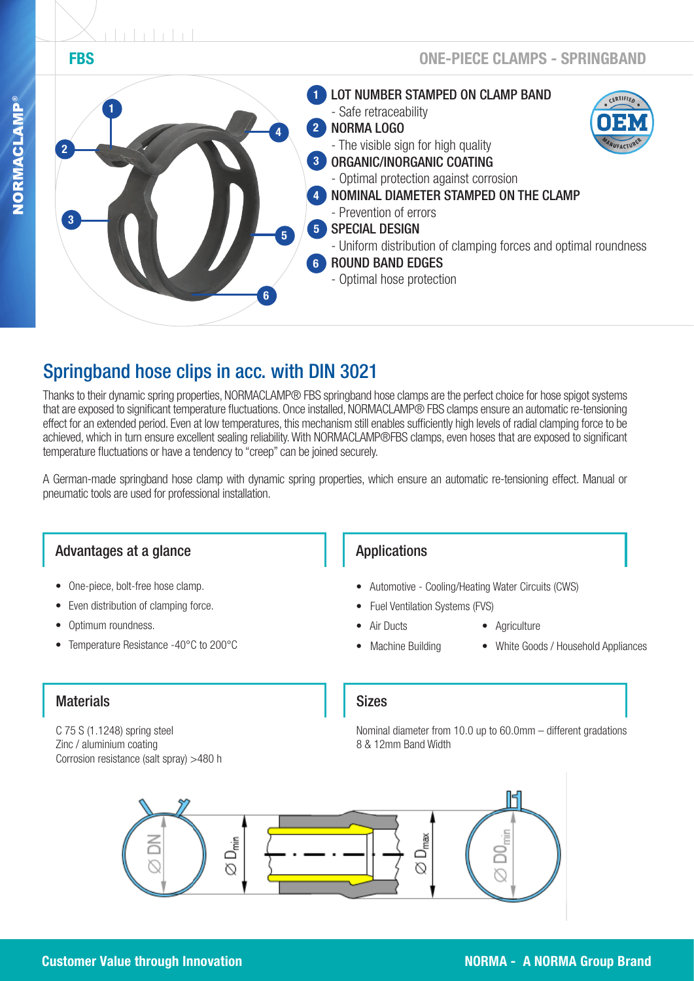

# Springband hose clips in acc. with DIN 3021

Thanks to their dynamic spring properties, NORMACLAMP® FBS springband hose clamps are the perfect choice for hose spigot systems that are exposed to significant temperature fluctuations. Once installed, NORMACLAMP® FBS clamps ensure an automatic re-tensioning effect for an extended period. Even at low temperatures, this mechanism still enables sufficiently high levels of radial clamping force to be achieved, which in turn ensure excellent sealing reliability. With NORMACLAMP®FBS clamps, even hoses that are exposed to significant temperature fluctuations or have a tendency to "creep" can be joined securely.

A German-made springband hose clamp with dynamic spring properties, which ensure an automatic re-tensioning effect. Manual or pneumatic tools are used for professional installation.

# Advantages at a glance

- One-piece, bolt-free hose clamp.
- Even distribution of clamping force.
- Optimum roundness.
- Temperature Resistance -40°C to 200°C

# Applications

- Automotive Cooling/Heating Water Circuits (CWS)
- Fuel Ventilation Systems (FVS)
- Air Ducts Agriculture
	-
	- Machine Building White Goods / Household Appliances

# **Materials**

C 75 S (1.1248) spring steel Zinc / aluminium coating Corrosion resistance (salt spray) >480 h

#### Sizes

Nominal diameter from 10.0 up to 60.0mm – different gradations 8 & 12mm Band Width